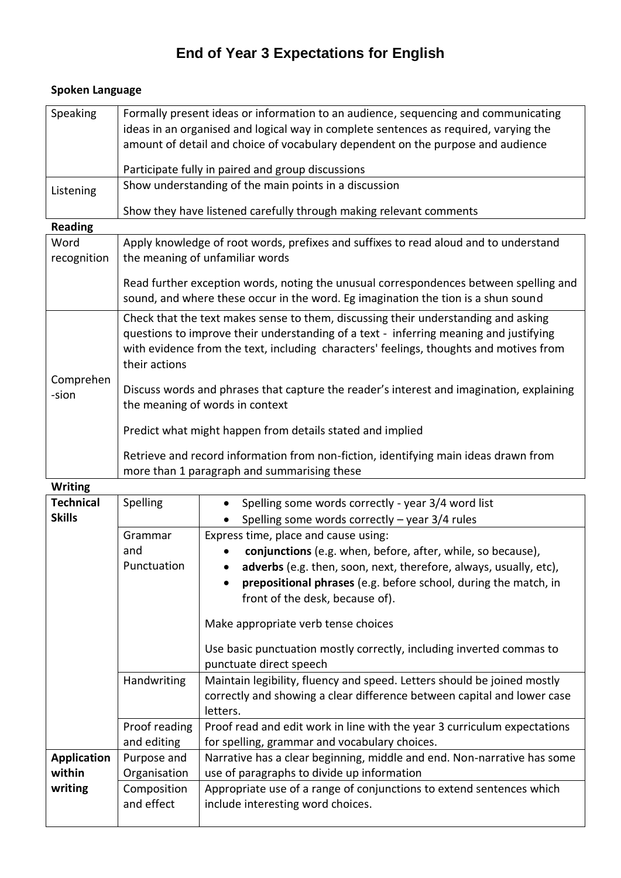## **End of Year 3 Expectations for English**

| Speaking                                | Formally present ideas or information to an audience, sequencing and communicating<br>ideas in an organised and logical way in complete sentences as required, varying the<br>amount of detail and choice of vocabulary dependent on the purpose and audience         |                                                                                                           |  |
|-----------------------------------------|-----------------------------------------------------------------------------------------------------------------------------------------------------------------------------------------------------------------------------------------------------------------------|-----------------------------------------------------------------------------------------------------------|--|
|                                         |                                                                                                                                                                                                                                                                       |                                                                                                           |  |
|                                         |                                                                                                                                                                                                                                                                       |                                                                                                           |  |
|                                         | Participate fully in paired and group discussions<br>Show understanding of the main points in a discussion                                                                                                                                                            |                                                                                                           |  |
| Listening                               |                                                                                                                                                                                                                                                                       |                                                                                                           |  |
|                                         | Show they have listened carefully through making relevant comments                                                                                                                                                                                                    |                                                                                                           |  |
| <b>Reading</b>                          |                                                                                                                                                                                                                                                                       |                                                                                                           |  |
| Word<br>recognition                     | Apply knowledge of root words, prefixes and suffixes to read aloud and to understand<br>the meaning of unfamiliar words                                                                                                                                               |                                                                                                           |  |
|                                         |                                                                                                                                                                                                                                                                       |                                                                                                           |  |
|                                         | Read further exception words, noting the unusual correspondences between spelling and                                                                                                                                                                                 |                                                                                                           |  |
|                                         | sound, and where these occur in the word. Eg imagination the tion is a shun sound                                                                                                                                                                                     |                                                                                                           |  |
| Comprehen<br>-sion                      | Check that the text makes sense to them, discussing their understanding and asking<br>questions to improve their understanding of a text - inferring meaning and justifying<br>with evidence from the text, including characters' feelings, thoughts and motives from |                                                                                                           |  |
|                                         | their actions                                                                                                                                                                                                                                                         |                                                                                                           |  |
|                                         | Discuss words and phrases that capture the reader's interest and imagination, explaining<br>the meaning of words in context                                                                                                                                           |                                                                                                           |  |
|                                         | Predict what might happen from details stated and implied                                                                                                                                                                                                             |                                                                                                           |  |
|                                         | Retrieve and record information from non-fiction, identifying main ideas drawn from<br>more than 1 paragraph and summarising these                                                                                                                                    |                                                                                                           |  |
| <b>Writing</b>                          |                                                                                                                                                                                                                                                                       |                                                                                                           |  |
| <b>Technical</b>                        | Spelling                                                                                                                                                                                                                                                              | Spelling some words correctly - year 3/4 word list                                                        |  |
| <b>Skills</b>                           |                                                                                                                                                                                                                                                                       | Spelling some words correctly $-$ year 3/4 rules                                                          |  |
|                                         | Grammar                                                                                                                                                                                                                                                               | Express time, place and cause using:                                                                      |  |
|                                         | and                                                                                                                                                                                                                                                                   | conjunctions (e.g. when, before, after, while, so because),                                               |  |
|                                         | Punctuation                                                                                                                                                                                                                                                           | adverbs (e.g. then, soon, next, therefore, always, usually, etc),                                         |  |
|                                         |                                                                                                                                                                                                                                                                       | prepositional phrases (e.g. before school, during the match, in<br>front of the desk, because of).        |  |
|                                         |                                                                                                                                                                                                                                                                       | Make appropriate verb tense choices                                                                       |  |
|                                         |                                                                                                                                                                                                                                                                       | Use basic punctuation mostly correctly, including inverted commas to                                      |  |
|                                         |                                                                                                                                                                                                                                                                       | punctuate direct speech                                                                                   |  |
|                                         | Handwriting                                                                                                                                                                                                                                                           | Maintain legibility, fluency and speed. Letters should be joined mostly                                   |  |
|                                         |                                                                                                                                                                                                                                                                       | correctly and showing a clear difference between capital and lower case<br>letters.                       |  |
|                                         | Proof reading                                                                                                                                                                                                                                                         | Proof read and edit work in line with the year 3 curriculum expectations                                  |  |
|                                         | and editing                                                                                                                                                                                                                                                           | for spelling, grammar and vocabulary choices.                                                             |  |
| <b>Application</b><br>within<br>writing | Purpose and                                                                                                                                                                                                                                                           | Narrative has a clear beginning, middle and end. Non-narrative has some                                   |  |
|                                         | Organisation                                                                                                                                                                                                                                                          | use of paragraphs to divide up information                                                                |  |
|                                         | Composition<br>and effect                                                                                                                                                                                                                                             | Appropriate use of a range of conjunctions to extend sentences which<br>include interesting word choices. |  |

## **Spoken Language**